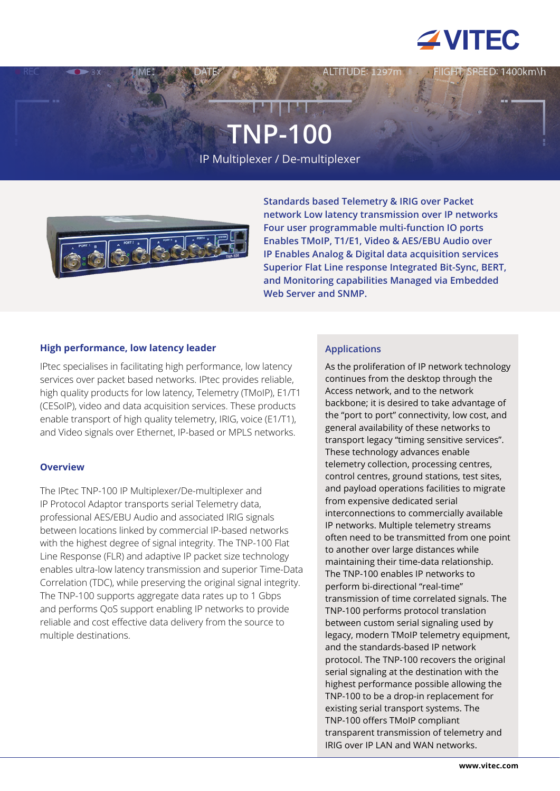

EED: 1400km\h

# **TNP-100**

IP Multiplexer / De-multiplexer



**Standards based Telemetry & IRIG over Packet network Low latency transmission over IP networks Four user programmable multi-function IO ports Enables TMoIP, T1/E1, Video & AES/EBU Audio over IP Enables Analog & Digital data acquisition services Superior Flat Line response Integrated Bit-Sync, BERT, and Monitoring capabilities Managed via Embedded Web Server and SNMP.**

## **High performance, low latency leader**

IPtec specialises in facilitating high performance, low latency services over packet based networks. IPtec provides reliable, high quality products for low latency, Telemetry (TMoIP), E1/T1 (CESoIP), video and data acquisition services. These products enable transport of high quality telemetry, IRIG, voice (E1/T1), and Video signals over Ethernet, IP-based or MPLS networks.

## **Overview**

The IPtec TNP-100 IP Multiplexer/De-multiplexer and IP Protocol Adaptor transports serial Telemetry data, professional AES/EBU Audio and associated IRIG signals between locations linked by commercial IP-based networks with the highest degree of signal integrity. The TNP-100 Flat Line Response (FLR) and adaptive IP packet size technology enables ultra-low latency transmission and superior Time-Data Correlation (TDC), while preserving the original signal integrity. The TNP-100 supports aggregate data rates up to 1 Gbps and performs QoS support enabling IP networks to provide reliable and cost effective data delivery from the source to multiple destinations.

# **Applications**

As the proliferation of IP network technology continues from the desktop through the Access network, and to the network backbone; it is desired to take advantage of the "port to port" connectivity, low cost, and general availability of these networks to transport legacy "timing sensitive services". These technology advances enable telemetry collection, processing centres, control centres, ground stations, test sites, and payload operations facilities to migrate from expensive dedicated serial interconnections to commercially available IP networks. Multiple telemetry streams often need to be transmitted from one point to another over large distances while maintaining their time-data relationship. The TNP-100 enables IP networks to perform bi-directional "real-time" transmission of time correlated signals. The TNP-100 performs protocol translation between custom serial signaling used by legacy, modern TMoIP telemetry equipment, and the standards-based IP network protocol. The TNP-100 recovers the original serial signaling at the destination with the highest performance possible allowing the TNP-100 to be a drop-in replacement for existing serial transport systems. The TNP-100 offers TMoIP compliant transparent transmission of telemetry and IRIG over IP LAN and WAN networks.